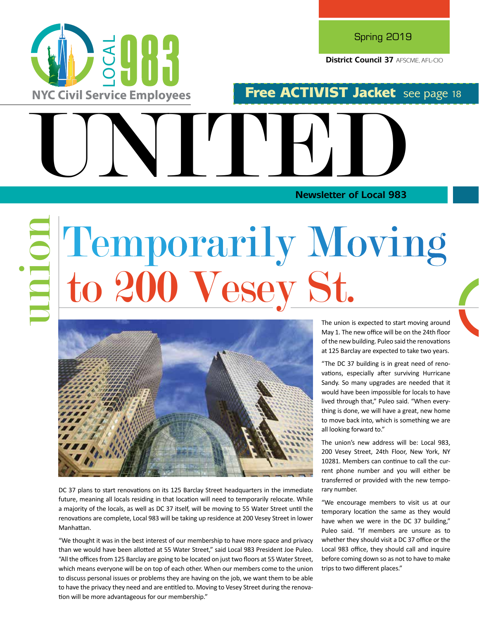

DC 37 plans to start renovations on its 125 Barclay Street headquarters in the immediate future, meaning all locals residing in that location will need to temporarily relocate. While a majority of the locals, as well as DC 37 itself, will be moving to 55 Water Street until the renovations are complete, Local 983 will be taking up residence at 200 Vesey Street in lower Manhattan.

"We thought it was in the best interest of our membership to have more space and privacy than we would have been allotted at 55 Water Street," said Local 983 President Joe Puleo. "All the offices from 125 Barclay are going to be located on just two floors at 55 Water Street, which means everyone will be on top of each other. When our members come to the union to discuss personal issues or problems they are having on the job, we want them to be able to have the privacy they need and are entitled to. Moving to Vesey Street during the renovation will be more advantageous for our membership."

The union is expected to start moving around May 1. The new office will be on the 24th floor of the new building. Puleo said the renovations at 125 Barclay are expected to take two years.

"The DC 37 building is in great need of renovations, especially after surviving Hurricane Sandy. So many upgrades are needed that it would have been impossible for locals to have lived through that," Puleo said. "When everything is done, we will have a great, new home to move back into, which is something we are all looking forward to."

The union's new address will be: Local 983, 200 Vesey Street, 24th Floor, New York, NY 10281. Members can continue to call the current phone number and you will either be transferred or provided with the new temporary number.

"We encourage members to visit us at our temporary location the same as they would have when we were in the DC 37 building," Puleo said. "If members are unsure as to whether they should visit a DC 37 office or the Local 983 office, they should call and inquire before coming down so as not to have to make trips to two different places."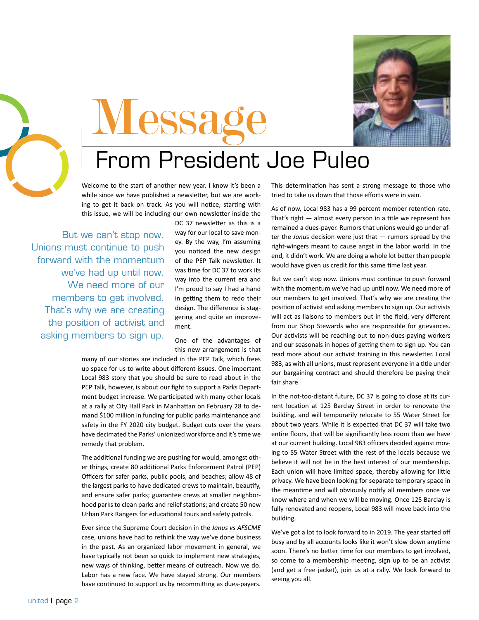



# **Messa**

### From President Joe Puleo

Welcome to the start of another new year. I know it's been a while since we have published a newsletter, but we are working to get it back on track. As you will notice, starting with this issue, we will be including our own newsletter inside the

But we can't stop now. Unions must continue to push forward with the momentum we've had up until now. We need more of our members to get involved. That's why we are creating the position of activist and asking members to sign up.

DC 37 newsletter as this is a way for our local to save money. By the way, I'm assuming you noticed the new design of the PEP Talk newsletter. It was time for DC 37 to work its way into the current era and I'm proud to say I had a hand in getting them to redo their design. The difference is staggering and quite an improvement.

One of the advantages of this new arrangement is that

many of our stories are included in the PEP Talk, which frees up space for us to write about different issues. One important Local 983 story that you should be sure to read about in the PEP Talk, however, is about our fight to support a Parks Department budget increase. We participated with many other locals at a rally at City Hall Park in Manhattan on February 28 to demand \$100 million in funding for public parks maintenance and safety in the FY 2020 city budget. Budget cuts over the years have decimated the Parks' unionized workforce and it's time we remedy that problem.

The additional funding we are pushing for would, amongst other things, create 80 additional Parks Enforcement Patrol (PEP) Officers for safer parks, public pools, and beaches; allow 48 of the largest parks to have dedicated crews to maintain, beautify, and ensure safer parks; guarantee crews at smaller neighborhood parks to clean parks and relief stations; and create 50 new Urban Park Rangers for educational tours and safety patrols.

Ever since the Supreme Court decision in the *Janus vs AFSCME* case, unions have had to rethink the way we've done business in the past. As an organized labor movement in general, we have typically not been so quick to implement new strategies, new ways of thinking, better means of outreach. Now we do. Labor has a new face. We have stayed strong. Our members have continued to support us by recommitting as dues-payers. This determination has sent a strong message to those who tried to take us down that those efforts were in vain.

As of now, Local 983 has a 99 percent member retention rate. That's right — almost every person in a title we represent has remained a dues-payer. Rumors that unions would go under after the *Janu*s decision were just that — rumors spread by the right-wingers meant to cause angst in the labor world. In the end, it didn't work. We are doing a whole lot better than people would have given us credit for this same time last year.

But we can't stop now. Unions must continue to push forward with the momentum we've had up until now. We need more of our members to get involved. That's why we are creating the position of activist and asking members to sign up. Our activists will act as liaisons to members out in the field, very different from our Shop Stewards who are responsible for grievances. Our activists will be reaching out to non-dues-paying workers and our seasonals in hopes of getting them to sign up. You can read more about our activist training in this newsletter. Local 983, as with all unions, must represent everyone in a title under our bargaining contract and should therefore be paying their fair share.

In the not-too-distant future, DC 37 is going to close at its current location at 125 Barclay Street in order to renovate the building, and will temporarily relocate to 55 Water Street for about two years. While it is expected that DC 37 will take two entire floors, that will be significantly less room than we have at our current building. Local 983 officers decided against moving to 55 Water Street with the rest of the locals because we believe it will not be in the best interest of our membership. Each union will have limited space, thereby allowing for little privacy. We have been looking for separate temporary space in the meantime and will obviously notify all members once we know where and when we will be moving. Once 125 Barclay is fully renovated and reopens, Local 983 will move back into the building.

We've got a lot to look forward to in 2019. The year started off busy and by all accounts looks like it won't slow down anytime soon. There's no better time for our members to get involved, so come to a membership meeting, sign up to be an activist (and get a free jacket), join us at a rally. We look forward to seeing you all.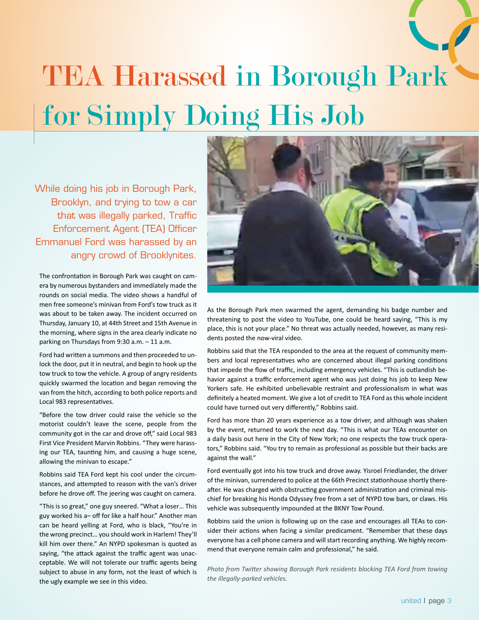## TEA Harassed in Borough Park for Simply Doing His Job

While doing his job in Borough Park, Brooklyn, and trying to tow a car that was illegally parked, Traffic Enforcement Agent (TEA) Officer Emmanuel Ford was harassed by an angry crowd of Brooklynites.

The confrontation in Borough Park was caught on camera by numerous bystanders and immediately made the rounds on social media. The video shows a handful of men free someone's minivan from Ford's tow truck as it was about to be taken away. The incident occurred on Thursday, January 10, at 44th Street and 15th Avenue in the morning, where signs in the area clearly indicate no parking on Thursdays from 9:30 a.m. – 11 a.m.

Ford had written a summons and then proceeded to unlock the door, put it in neutral, and begin to hook up the tow truck to tow the vehicle. A group of angry residents quickly swarmed the location and began removing the van from the hitch, according to both police reports and Local 983 representatives.

"Before the tow driver could raise the vehicle so the motorist couldn't leave the scene, people from the community got in the car and drove off," said Local 983 First Vice President Marvin Robbins. "They were harassing our TEA, taunting him, and causing a huge scene, allowing the minivan to escape."

Robbins said TEA Ford kept his cool under the circumstances, and attempted to reason with the van's driver before he drove off. The jeering was caught on camera.

"This is so great," one guy sneered. "What a loser… This guy worked his a– off for like a half hour." Another man can be heard yelling at Ford, who is black, "You're in the wrong precinct… you should work in Harlem! They'll kill him over there." An NYPD spokesman is quoted as saying, "the attack against the traffic agent was unacceptable. We will not tolerate our traffic agents being subject to abuse in any form, not the least of which is the ugly example we see in this video.



As the Borough Park men swarmed the agent, demanding his badge number and threatening to post the video to YouTube, one could be heard saying, "This is my place, this is not your place." No threat was actually needed, however, as many residents posted the now-viral video.

Robbins said that the TEA responded to the area at the request of community members and local representatives who are concerned about illegal parking conditions that impede the flow of traffic, including emergency vehicles. "This is outlandish behavior against a traffic enforcement agent who was just doing his job to keep New Yorkers safe. He exhibited unbelievable restraint and professionalism in what was definitely a heated moment. We give a lot of credit to TEA Ford as this whole incident could have turned out very differently," Robbins said.

Ford has more than 20 years experience as a tow driver, and although was shaken by the event, returned to work the next day. "This is what our TEAs encounter on a daily basis out here in the City of New York; no one respects the tow truck operators," Robbins said. "You try to remain as professional as possible but their backs are against the wall."

Ford eventually got into his tow truck and drove away. Yisroel Friedlander, the driver of the minivan, surrendered to police at the 66th Precinct stationhouse shortly thereafter. He was charged with obstructing government administration and criminal mischief for breaking his Honda Odyssey free from a set of NYPD tow bars, or claws. His vehicle was subsequently impounded at the BKNY Tow Pound.

Robbins said the union is following up on the case and encourages all TEAs to consider their actions when facing a similar predicament. "Remember that these days everyone has a cell phone camera and will start recording anything. We highly recommend that everyone remain calm and professional," he said.

*Photo from Twitter showing Borough Park residents blocking TEA Ford from towing the illegally-parked vehicles.*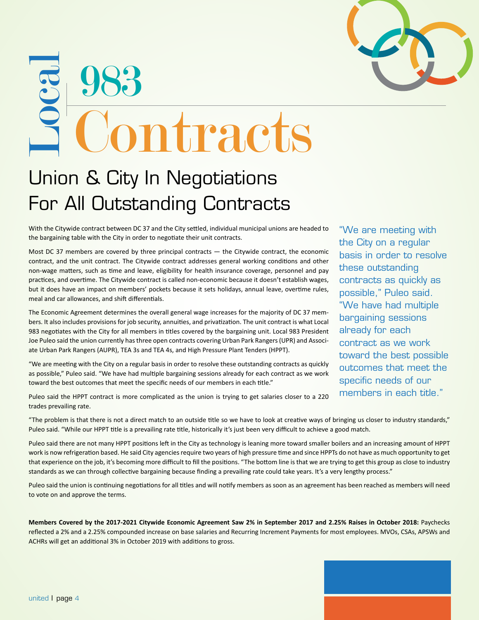## 983 **Local The Contracts**

### Union & City In Negotiations For All Outstanding Contracts

With the Citywide contract between DC 37 and the City settled, individual municipal unions are headed to the bargaining table with the City in order to negotiate their unit contracts.

Most DC 37 members are covered by three principal contracts — the Citywide contract, the economic contract, and the unit contract. The Citywide contract addresses general working conditions and other non-wage matters, such as time and leave, eligibility for health insurance coverage, personnel and pay practices, and overtime. The Citywide contract is called non-economic because it doesn't establish wages, but it does have an impact on members' pockets because it sets holidays, annual leave, overtime rules, meal and car allowances, and shift differentials.

The Economic Agreement determines the overall general wage increases for the majority of DC 37 members. It also includes provisions for job security, annuities, and privatization. The unit contract is what Local 983 negotiates with the City for all members in titles covered by the bargaining unit. Local 983 President Joe Puleo said the union currently has three open contracts covering Urban Park Rangers (UPR) and Associate Urban Park Rangers (AUPR), TEA 3s and TEA 4s, and High Pressure Plant Tenders (HPPT).

"We are meeting with the City on a regular basis in order to resolve these outstanding contracts as quickly as possible," Puleo said. "We have had multiple bargaining sessions already for each contract as we work toward the best outcomes that meet the specific needs of our members in each title."

Puleo said the HPPT contract is more complicated as the union is trying to get salaries closer to a 220 trades prevailing rate.

"We are meeting with the City on a regular basis in order to resolve these outstanding contracts as quickly as possible," Puleo said. "We have had multiple bargaining sessions already for each contract as we work toward the best possible outcomes that meet the specific needs of our members in each title."

"The problem is that there is not a direct match to an outside title so we have to look at creative ways of bringing us closer to industry standards," Puleo said. "While our HPPT title is a prevailing rate title, historically it's just been very difficult to achieve a good match.

Puleo said there are not many HPPT positions left in the City as technology is leaning more toward smaller boilers and an increasing amount of HPPT work is now refrigeration based. He said City agencies require two years of high pressure time and since HPPTs do not have as much opportunity to get that experience on the job, it's becoming more difficult to fill the positions. "The bottom line is that we are trying to get this group as close to industry standards as we can through collective bargaining because finding a prevailing rate could take years. It's a very lengthy process."

Puleo said the union is continuing negotiations for all titles and will notify members as soon as an agreement has been reached as members will need to vote on and approve the terms.

**Members Covered by the 2017-2021 Citywide Economic Agreement Saw 2% in September 2017 and 2.25% Raises in October 2018:** Paychecks reflected a 2% and a 2.25% compounded increase on base salaries and Recurring Increment Payments for most employees. MVOs, CSAs, APSWs and ACHRs will get an additional 3% in October 2019 with additions to gross.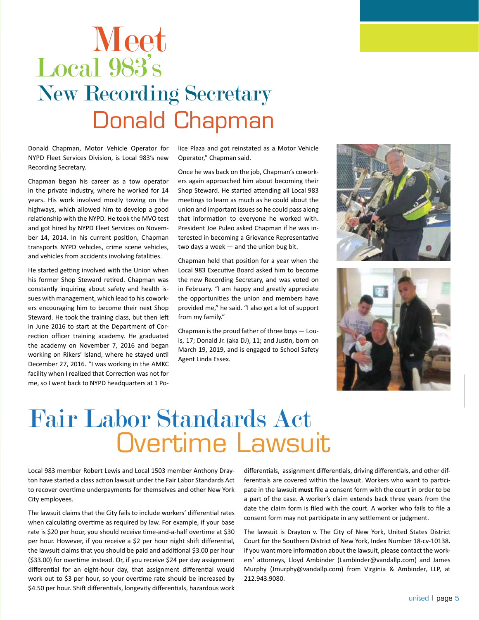### Meet Donald Chapman Local 983's New Recording Secretary

Donald Chapman, Motor Vehicle Operator for NYPD Fleet Services Division, is Local 983's new Recording Secretary.

Chapman began his career as a tow operator in the private industry, where he worked for 14 years. His work involved mostly towing on the highways, which allowed him to develop a good relationship with the NYPD. He took the MVO test and got hired by NYPD Fleet Services on November 14, 2014. In his current position, Chapman transports NYPD vehicles, crime scene vehicles, and vehicles from accidents involving fatalities.

He started getting involved with the Union when his former Shop Steward retired. Chapman was constantly inquiring about safety and health issues with management, which lead to his coworkers encouraging him to become their next Shop Steward. He took the training class, but then left in June 2016 to start at the Department of Correction officer training academy. He graduated the academy on November 7, 2016 and began working on Rikers' Island, where he stayed until December 27, 2016. "I was working in the AMKC facility when I realized that Correction was not for me, so I went back to NYPD headquarters at 1 Police Plaza and got reinstated as a Motor Vehicle Operator," Chapman said.

Once he was back on the job, Chapman's coworkers again approached him about becoming their Shop Steward. He started attending all Local 983 meetings to learn as much as he could about the union and important issues so he could pass along that information to everyone he worked with. President Joe Puleo asked Chapman if he was interested in becoming a Grievance Representative two days a week — and the union bug bit.

Chapman held that position for a year when the Local 983 Executive Board asked him to become the new Recording Secretary, and was voted on in February. "I am happy and greatly appreciate the opportunities the union and members have provided me," he said. "I also get a lot of support from my family."

Chapman is the proud father of three boys — Louis, 17; Donald Jr. (aka DJ), 11; and Justin, born on March 19, 2019, and is engaged to School Safety Agent Linda Essex.





### Overtime Lawsuit Fair Labor Standards Act

Local 983 member Robert Lewis and Local 1503 member Anthony Drayton have started a class action lawsuit under the Fair Labor Standards Act to recover overtime underpayments for themselves and other New York City employees.

The lawsuit claims that the City fails to include workers' differential rates when calculating overtime as required by law. For example, if your base rate is \$20 per hour, you should receive time-and-a-half overtime at \$30 per hour. However, if you receive a \$2 per hour night shift differential, the lawsuit claims that you should be paid and additional \$3.00 per hour (\$33.00) for overtime instead. Or, if you receive \$24 per day assignment differential for an eight-hour day, that assignment differential would work out to \$3 per hour, so your overtime rate should be increased by \$4.50 per hour. Shift differentials, longevity differentials, hazardous work

differentials, assignment differentials, driving differentials, and other differentials are covered within the lawsuit. Workers who want to participate in the lawsuit **must** file a consent form with the court in order to be a part of the case. A worker's claim extends back three years from the date the claim form is filed with the court. A worker who fails to file a consent form may not participate in any settlement or judgment.

The lawsuit is Drayton v. The City of New York, United States District Court for the Southern District of New York, Index Number 18-cv-10138. If you want more information about the lawsuit, please contact the workers' attorneys, Lloyd Ambinder (Lambinder@vandallp.com) and James Murphy (Jmurphy@vandallp.com) from Virginia & Ambinder, LLP, at 212.943.9080.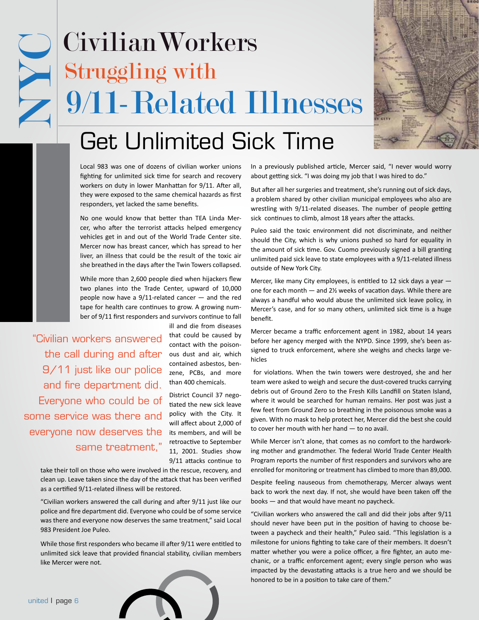### NYC 9/11-Related Illnesses Struggling with Civilian Workers



### Get Unlimited Sick Time

Local 983 was one of dozens of civilian worker unions fighting for unlimited sick time for search and recovery workers on duty in lower Manhattan for 9/11. After all, they were exposed to the same chemical hazards as first responders, yet lacked the same benefits.

No one would know that better than TEA Linda Mercer, who after the terrorist attacks helped emergency vehicles get in and out of the World Trade Center site. Mercer now has breast cancer, which has spread to her liver, an illness that could be the result of the toxic air she breathed in the days after the Twin Towers collapsed.

While more than 2,600 people died when hijackers flew two planes into the Trade Center, upward of 10,000 people now have a 9/11-related cancer — and the red tape for health care continues to grow. A growing number of 9/11 first responders and survivors continue to fall

"Civilian workers answered the call during and after 9/11 just like our police and fire department did. Everyone who could be of some service was there and everyone now deserves the same treatment,"

ill and die from diseases that could be caused by contact with the poisonous dust and air, which contained asbestos, benzene, PCBs, and more than 400 chemicals.

District Council 37 negotiated the new sick leave policy with the City. It will affect about 2,000 of its members, and will be retroactive to September 11, 2001. Studies show 9/11 attacks continue to

take their toll on those who were involved in the rescue, recovery, and clean up. Leave taken since the day of the attack that has been verified as a certified 9/11-related illness will be restored.

"Civilian workers answered the call during and after 9/11 just like our police and fire department did. Everyone who could be of some service was there and everyone now deserves the same treatment," said Local 983 President Joe Puleo.

While those first responders who became ill after 9/11 were entitled to unlimited sick leave that provided financial stability, civilian members like Mercer were not.

In a previously published article, Mercer said, "I never would worry about getting sick. "I was doing my job that I was hired to do."

But after all her surgeries and treatment, she's running out of sick days, a problem shared by other civilian municipal employees who also are wrestling with 9/11-related diseases. The number of people getting sick continues to climb, almost 18 years after the attacks.

Puleo said the toxic environment did not discriminate, and neither should the City, which is why unions pushed so hard for equality in the amount of sick time. Gov. Cuomo previously signed a bill granting unlimited paid sick leave to state employees with a 9/11-related illness outside of New York City.

Mercer, like many City employees, is entitled to 12 sick days a year one for each month — and 2½ weeks of vacation days. While there are always a handful who would abuse the unlimited sick leave policy, in Mercer's case, and for so many others, unlimited sick time is a huge benefit.

Mercer became a traffic enforcement agent in 1982, about 14 years before her agency merged with the NYPD. Since 1999, she's been assigned to truck enforcement, where she weighs and checks large vehicles

 for violations. When the twin towers were destroyed, she and her team were asked to weigh and secure the dust-covered trucks carrying debris out of Ground Zero to the Fresh Kills Landfill on Staten Island, where it would be searched for human remains. Her post was just a few feet from Ground Zero so breathing in the poisonous smoke was a given. With no mask to help protect her, Mercer did the best she could to cover her mouth with her hand — to no avail.

While Mercer isn't alone, that comes as no comfort to the hardworking mother and grandmother. The federal World Trade Center Health Program reports the number of first responders and survivors who are enrolled for monitoring or treatment has climbed to more than 89,000.

Despite feeling nauseous from chemotherapy, Mercer always went back to work the next day. If not, she would have been taken off the books — and that would have meant no paycheck.

"Civilian workers who answered the call and did their jobs after 9/11 should never have been put in the position of having to choose between a paycheck and their health," Puleo said. "This legislation is a milestone for unions fighting to take care of their members. It doesn't matter whether you were a police officer, a fire fighter, an auto mechanic, or a traffic enforcement agent; every single person who was impacted by the devastating attacks is a true hero and we should be honored to be in a position to take care of them."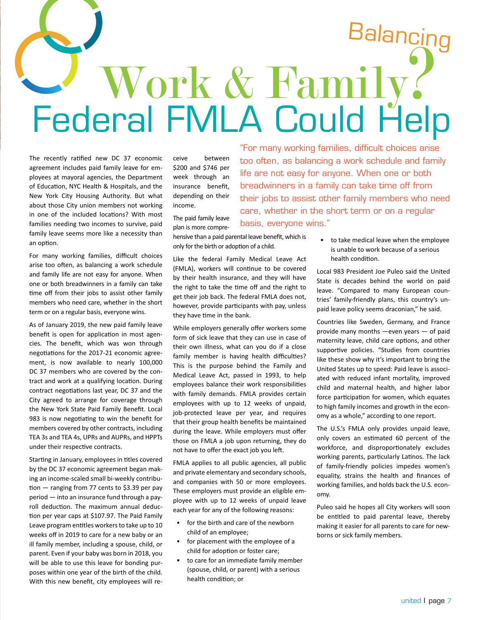## Balancing Federal FMLA Could Help Work & Family?

The recently ratified new DC 37 economic agreement includes paid family leave for employees at mayoral agencies, the Department of Education, NYC Health & Hospitals, and the New York City Housing Authority. But what about those City union members not working in one of the included locations? With most families needing two incomes to survive, paid family leave seems more like a necessity than an option.

For many working families, difficult choices arise too often, as balancing a work schedule and family life are not easy for anyone. When one or both breadwinners in a family can take time off from their jobs to assist other family members who need care, whether in the short term or on a regular basis, everyone wins.

As of January 2019, the new paid family leave benefit is open for application in most agencies. The benefit, which was won through negotiations for the 2017-21 economic agreement, is now available to nearly 100,000 DC 37 members who are covered by the contract and work at a qualifying location. During contract negotiations last year, DC 37 and the City agreed to arrange for coverage through the New York State Paid Family Benefit. Local 983 is now negotiating to win the benefit for members covered by other contracts, including TEA 3s and TEA 4s, UPRs and AUPRs, and HPPTs under their respective contracts.

Starting in January, employees in titles covered by the DC 37 economic agreement began making an income-scaled small bi-weekly contribution — ranging from 77 cents to \$3.39 per pay period — into an insurance fund through a payroll deduction. The maximum annual deduction per year caps at \$107.97. The Paid Family Leave program entitles workers to take up to 10 weeks off in 2019 to care for a new baby or an ill family member, including a spouse, child, or parent. Even if your baby was born in 2018, you will be able to use this leave for bonding purposes within one year of the birth of the child. With this new benefit, city employees will receive between \$200 and \$746 per week through an insurance benefit, depending on their income.

The paid family leave plan is more compre-

hensive than a paid parental leave benefit, which is only for the birth or adoption of a child.

Like the federal Family Medical Leave Act (FMLA), workers will continue to be covered by their health insurance, and they will have the right to take the time off and the right to get their job back. The federal FMLA does not, however, provide participants with pay, unless they have time in the bank.

While employers generally offer workers some form of sick leave that they can use in case of their own illness, what can you do if a close family member is having health difficulties? This is the purpose behind the Family and Medical Leave Act, passed in 1993, to help employees balance their work responsibilities with family demands. FMLA provides certain employees with up to 12 weeks of unpaid, job-protected leave per year, and requires that their group health benefits be maintained during the leave. While employers must offer those on FMLA a job upon returning, they do not have to offer the exact job you left.

FMLA applies to all public agencies, all public and private elementary and secondary schools, and companies with 50 or more employees. These employers must provide an eligible employee with up to 12 weeks of unpaid leave each year for any of the following reasons:

- for the birth and care of the newborn child of an employee;
- for placement with the employee of a child for adoption or foster care;
- to care for an immediate family member (spouse, child, or parent) with a serious health condition; or

"For many working families, difficult choices arise too often, as balancing a work schedule and family life are not easy for anyone. When one or both breadwinners in a family can take time off from their jobs to assist other family members who need care, whether in the short term or on a regular basis, everyone wins."

> to take medical leave when the employee is unable to work because of a serious health condition.

Local 983 President Joe Puleo said the United State is decades behind the world on paid leave. "Compared to many European countries' family-friendly plans, this country's unpaid leave policy seems draconian," he said.

Countries like Sweden, Germany, and France provide many months —even years — of paid maternity leave, child care options, and other supportive policies. "Studies from countries like these show why it's important to bring the United States up to speed: Paid leave is associated with reduced infant mortality, improved child and maternal health, and higher labor force participation for women, which equates to high family incomes and growth in the economy as a whole," according to one report.

The U.S.'s FMLA only provides unpaid leave, only covers an estimated 60 percent of the workforce, and disproportionately excludes working parents, particularly Latinos. The lack of family-friendly policies impedes women's equality, strains the health and finances of working families, and holds back the U.S. economy.

Puleo said he hopes all City workers will soon be entitled to paid parental leave, thereby making it easier for all parents to care for newborns or sick family members.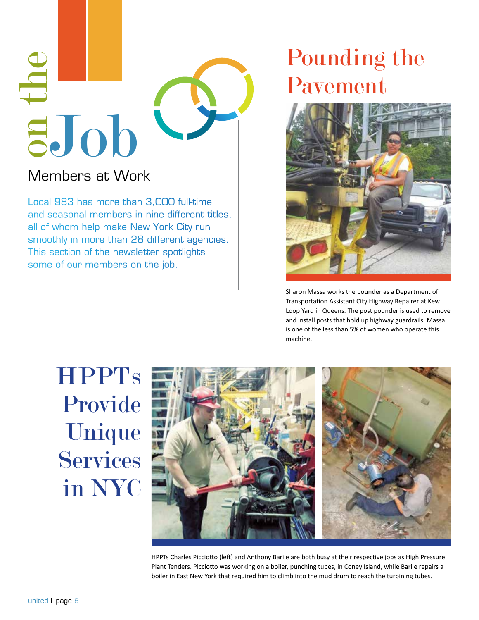

#### Members at Work

Local 983 has more than 3,000 full-time and seasonal members in nine different titles, all of whom help make New York City run smoothly in more than 28 different agencies. This section of the newsletter spotlights some of our members on the job.

### Pounding the Pavement



Sharon Massa works the pounder as a Department of Transportation Assistant City Highway Repairer at Kew Loop Yard in Queens. The post pounder is used to remove and install posts that hold up highway guardrails. Massa is one of the less than 5% of women who operate this machine.

**HPPTs** Provide Unique **Services** in NYC



HPPTs Charles Picciotto (left) and Anthony Barile are both busy at their respective jobs as High Pressure Plant Tenders. Picciotto was working on a boiler, punching tubes, in Coney Island, while Barile repairs a boiler in East New York that required him to climb into the mud drum to reach the turbining tubes.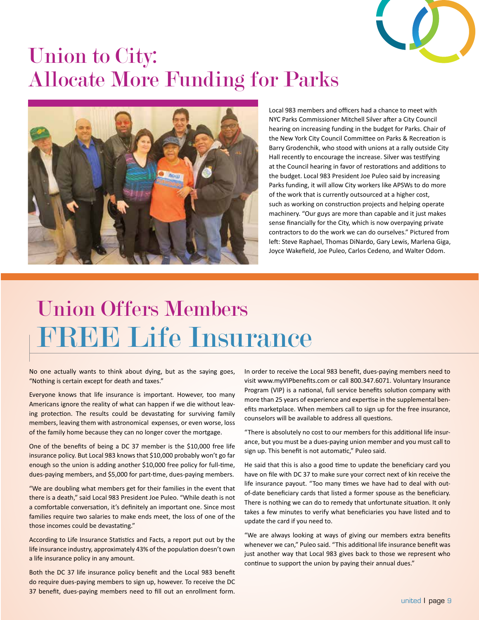

### Union to City: Allocate More Funding for Parks



Local 983 members and officers had a chance to meet with NYC Parks Commissioner Mitchell Silver after a City Council hearing on increasing funding in the budget for Parks. Chair of the New York City Council Committee on Parks & Recreation is Barry Grodenchik, who stood with unions at a rally outside City Hall recently to encourage the increase. Silver was testifying at the Council hearing in favor of restorations and additions to the budget. Local 983 President Joe Puleo said by increasing Parks funding, it will allow City workers like APSWs to do more of the work that is currently outsourced at a higher cost, such as working on construction projects and helping operate machinery. "Our guys are more than capable and it just makes sense financially for the City, which is now overpaying private contractors to do the work we can do ourselves." Pictured from left: Steve Raphael, Thomas DiNardo, Gary Lewis, Marlena Giga, Joyce Wakefield, Joe Puleo, Carlos Cedeno, and Walter Odom.

### FREE Life Insurance Union Offers Members

No one actually wants to think about dying, but as the saying goes, "Nothing is certain except for death and taxes."

Everyone knows that life insurance is important. However, too many Americans ignore the reality of what can happen if we die without leaving protection. The results could be devastating for surviving family members, leaving them with astronomical expenses, or even worse, loss of the family home because they can no longer cover the mortgage.

One of the benefits of being a DC 37 member is the \$10,000 free life insurance policy. But Local 983 knows that \$10,000 probably won't go far enough so the union is adding another \$10,000 free policy for full-time, dues-paying members, and \$5,000 for part-time, dues-paying members.

"We are doubling what members get for their families in the event that there is a death," said Local 983 President Joe Puleo. "While death is not a comfortable conversation, it's definitely an important one. Since most families require two salaries to make ends meet, the loss of one of the those incomes could be devastating."

According to Life Insurance Statistics and Facts, a report put out by the life insurance industry, approximately 43% of the population doesn't own a life insurance policy in any amount.

Both the DC 37 life insurance policy benefit and the Local 983 benefit do require dues-paying members to sign up, however. To receive the DC 37 benefit, dues-paying members need to fill out an enrollment form.

In order to receive the Local 983 benefit, dues-paying members need to visit www.myVIPbenefits.com or call 800.347.6071. Voluntary Insurance Program (VIP) is a national, full service benefits solution company with more than 25 years of experience and expertise in the supplemental benefits marketplace. When members call to sign up for the free insurance, counselors will be available to address all questions.

"There is absolutely no cost to our members for this additional life insurance, but you must be a dues-paying union member and you must call to sign up. This benefit is not automatic," Puleo said.

He said that this is also a good time to update the beneficiary card you have on file with DC 37 to make sure your correct next of kin receive the life insurance payout. "Too many times we have had to deal with outof-date beneficiary cards that listed a former spouse as the beneficiary. There is nothing we can do to remedy that unfortunate situation. It only takes a few minutes to verify what beneficiaries you have listed and to update the card if you need to.

"We are always looking at ways of giving our members extra benefits whenever we can," Puleo said. "This additional life insurance benefit was just another way that Local 983 gives back to those we represent who continue to support the union by paying their annual dues."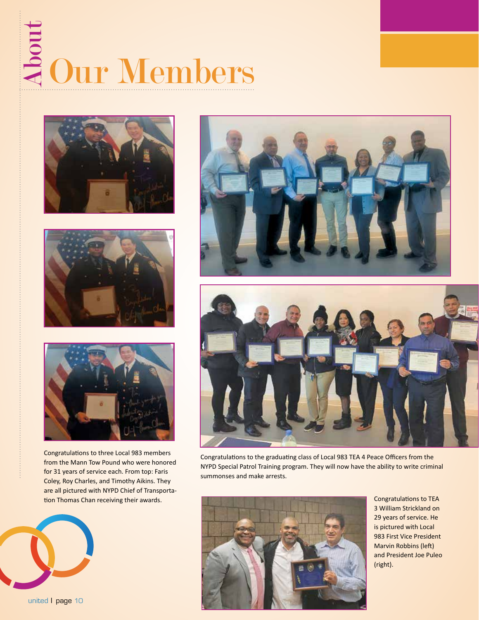## Abou Our Members







Congratulations to three Local 983 members from the Mann Tow Pound who were honored for 31 years of service each. From top: Faris Coley, Roy Charles, and Timothy Aikins. They are all pictured with NYPD Chief of Transportation Thomas Chan receiving their awards.







Congratulations to the graduating class of Local 983 TEA 4 Peace Officers from the NYPD Special Patrol Training program. They will now have the ability to write criminal summonses and make arrests.



Congratulations to TEA 3 William Strickland on 29 years of service. He is pictured with Local 983 First Vice President Marvin Robbins (left) and President Joe Puleo (right).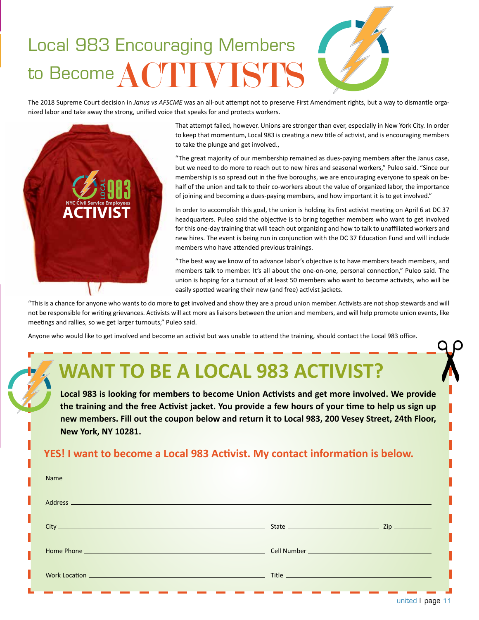### ACTIVISTS Local 983 Encouraging Members to Become

The 2018 Supreme Court decision in *Janus vs AFSCME* was an all-out attempt not to preserve First Amendment rights, but a way to dismantle organized labor and take away the strong, unified voice that speaks for and protects workers.



That attempt failed, however. Unions are stronger than ever, especially in New York City. In order to keep that momentum, Local 983 is creating a new title of activist, and is encouraging members to take the plunge and get involved.,

"The great majority of our membership remained as dues-paying members after the Janus case, but we need to do more to reach out to new hires and seasonal workers," Puleo said. "Since our membership is so spread out in the five boroughs, we are encouraging everyone to speak on behalf of the union and talk to their co-workers about the value of organized labor, the importance of joining and becoming a dues-paying members, and how important it is to get involved."

In order to accomplish this goal, the union is holding its first activist meeting on April 6 at DC 37 headquarters. Puleo said the objective is to bring together members who want to get involved for this one-day training that will teach out organizing and how to talk to unaffiliated workers and new hires. The event is being run in conjunction with the DC 37 Education Fund and will include members who have attended previous trainings.

"The best way we know of to advance labor's objective is to have members teach members, and members talk to member. It's all about the one-on-one, personal connection," Puleo said. The union is hoping for a turnout of at least 50 members who want to become activists, who will be easily spotted wearing their new (and free) activist jackets.

"This is a chance for anyone who wants to do more to get involved and show they are a proud union member. Activists are not shop stewards and will not be responsible for writing grievances. Activists will act more as liaisons between the union and members, and will help promote union events, like meetings and rallies, so we get larger turnouts," Puleo said.

Anyone who would like to get involved and become an activist but was unable to attend the training, should contact the Local 983 office.

### **WANT TO BE A LOCAL 983 ACTIVIST?**

**Local 983 is looking for members to become Union Activists and get more involved. We provide the training and the free Activist jacket. You provide a few hours of your time to help us sign up new members. Fill out the coupon below and return it to Local 983, 200 Vesey Street, 24th Floor, New York, NY 10281.**

#### **YES! I want to become a Local 983 Activist. My contact information is below.**

| Name and the contract of the contract of the contract of the contract of the contract of the contract of the contract of the contract of the contract of the contract of the contract of the contract of the contract of the c |                                                                                                                      |  |
|--------------------------------------------------------------------------------------------------------------------------------------------------------------------------------------------------------------------------------|----------------------------------------------------------------------------------------------------------------------|--|
|                                                                                                                                                                                                                                |                                                                                                                      |  |
|                                                                                                                                                                                                                                |                                                                                                                      |  |
|                                                                                                                                                                                                                                |                                                                                                                      |  |
| <b>Work Location Committee Committee Committee Committee Committee Committee Committee Committee Committee Commit</b>                                                                                                          | Title <u>the state of the state of the state of the state of the state of the state of the state of the state of</u> |  |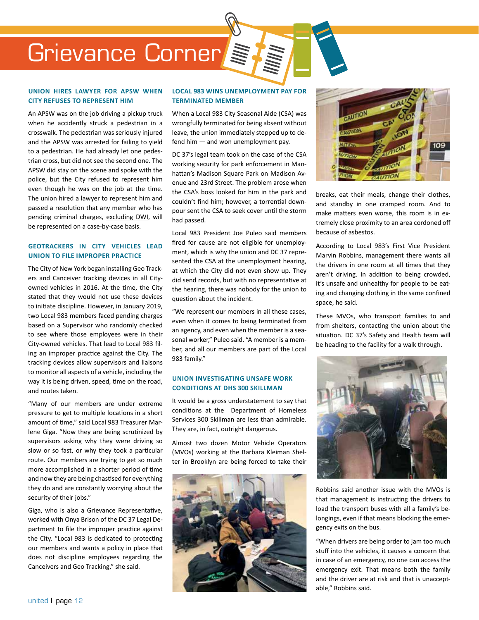### Grievance Corner

#### **union hires lawyer for apsw when city refuses to represent him**

An Apsw was on the job driving a pickup truck when he accidently struck a pedestrian in a crosswalk. The pedestrian was seriously injured and the APSW was arrested for failing to yield to a pedestrian. He had already let one pedestrian cross, but did not see the second one. The APSW did stay on the scene and spoke with the police, but the City refused to represent him even though he was on the job at the time. The union hired a lawyer to represent him and passed a resolution that any member who has pending criminal charges, excluding DWI, will be represented on a case-by-case basis.

#### **geotrackers in city vehicles lead union to file improper practice**

The City of New York began installing Geo Trackers and Canceiver tracking devices in all Cityowned vehicles in 2016. At the time, the City stated that they would not use these devices to initiate discipline. However, in January 2019, two Local 983 members faced pending charges based on a Supervisor who randomly checked to see where those employees were in their City-owned vehicles. That lead to Local 983 filing an improper practice against the City. The tracking devices allow supervisors and liaisons to monitor all aspects of a vehicle, including the way it is being driven, speed, time on the road, and routes taken.

"Many of our members are under extreme pressure to get to multiple locations in a short amount of time," said Local 983 Treasurer Marlene Giga. "Now they are being scrutinized by supervisors asking why they were driving so slow or so fast, or why they took a particular route. Our members are trying to get so much more accomplished in a shorter period of time and now they are being chastised for everything they do and are constantly worrying about the security of their jobs."

Giga, who is also a Grievance Representative, worked with Onya Brison of the DC 37 Legal Department to file the improper practice against the City. "Local 983 is dedicated to protecting our members and wants a policy in place that does not discipline employees regarding the Canceivers and Geo Tracking," she said.

#### **LOCAL 983 WINS UNEMPLOYMENT PAY FOR TERMINATED MEMBER**

When a Local 983 City Seasonal Aide (CSA) was wrongfully terminated for being absent without leave, the union immediately stepped up to defend him — and won unemployment pay.

DC 37's legal team took on the case of the CSA working security for park enforcement in Manhattan's Madison Square Park on Madison Avenue and 23rd Street. The problem arose when the CSA's boss looked for him in the park and couldn't find him; however, a torrential downpour sent the CSA to seek cover until the storm had passed.

Local 983 President Joe Puleo said members fired for cause are not eligible for unemployment, which is why the union and DC 37 represented the CSA at the unemployment hearing, at which the City did not even show up. They did send records, but with no representative at the hearing, there was nobody for the union to question about the incident.

"We represent our members in all these cases, even when it comes to being terminated from an agency, and even when the member is a seasonal worker," Puleo said. "A member is a member, and all our members are part of the Local 983 family."

#### **Union investigating unsafe work conditions at DHS 300 Skillman**

It would be a gross understatement to say that conditions at the Department of Homeless Services 300 Skillman are less than admirable. They are, in fact, outright dangerous.

Almost two dozen Motor Vehicle Operators (MVOs) working at the Barbara Kleiman Shelter in Brooklyn are being forced to take their





breaks, eat their meals, change their clothes, and standby in one cramped room. And to make matters even worse, this room is in extremely close proximity to an area cordoned off because of asbestos.

According to Local 983's First Vice President Marvin Robbins, management there wants all the drivers in one room at all times that they aren't driving. In addition to being crowded, it's unsafe and unhealthy for people to be eating and changing clothing in the same confined space, he said.

These MVOs, who transport families to and from shelters, contacting the union about the situation. DC 37's Safety and Health team will be heading to the facility for a walk through.



Robbins said another issue with the MVOs is that management is instructing the drivers to load the transport buses with all a family's belongings, even if that means blocking the emergency exits on the bus.

"When drivers are being order to jam too much stuff into the vehicles, it causes a concern that in case of an emergency, no one can access the emergency exit. That means both the family and the driver are at risk and that is unacceptable," Robbins said.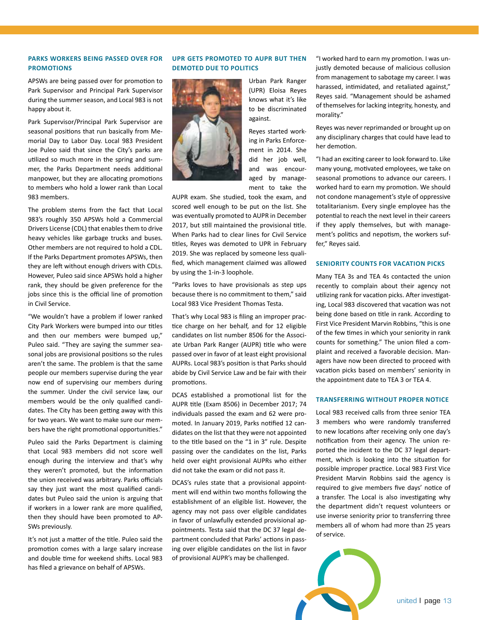#### **parks workers being passed over for promotions**

APSWs are being passed over for promotion to Park Supervisor and Principal Park Supervisor during the summer season, and Local 983 is not happy about it.

Park Supervisor/Principal Park Supervisor are seasonal positions that run basically from Memorial Day to Labor Day. Local 983 President Joe Puleo said that since the City's parks are utilized so much more in the spring and summer, the Parks Department needs additional manpower, but they are allocating promotions to members who hold a lower rank than Local 983 members.

The problem stems from the fact that Local 983's roughly 350 APSWs hold a Commercial Drivers License (CDL) that enables them to drive heavy vehicles like garbage trucks and buses. Other members are not required to hold a CDL. If the Parks Department promotes APSWs, then they are left without enough drivers with CDLs. However, Puleo said since APSWs hold a higher rank, they should be given preference for the jobs since this is the official line of promotion in Civil Service.

"We wouldn't have a problem if lower ranked City Park Workers were bumped into our titles and then our members were bumped up," Puleo said. "They are saying the summer seasonal jobs are provisional positions so the rules aren't the same. The problem is that the same people our members supervise during the year now end of supervising our members during the summer. Under the civil service law, our members would be the only qualified candidates. The City has been getting away with this for two years. We want to make sure our members have the right promotional opportunities."

Puleo said the Parks Department is claiming that Local 983 members did not score well enough during the interview and that's why they weren't promoted, but the information the union received was arbitrary. Parks officials say they just want the most qualified candidates but Puleo said the union is arguing that if workers in a lower rank are more qualified, then they should have been promoted to AP-SWs previously.

It's not just a matter of the title. Puleo said the promotion comes with a large salary increase and double time for weekend shifts. Local 983 has filed a grievance on behalf of APSWs.

#### **UPR gets promoted to aupr but then demoted due to politics**



Urban Park Ranger (UPR) Eloisa Reyes knows what it's like to be discriminated against.

Reyes started working in Parks Enforcement in 2014. She did her job well, and was encouraged by management to take the

AUPR exam. She studied, took the exam, and scored well enough to be put on the list. She was eventually promoted to AUPR in December 2017, but still maintained the provisional title. When Parks had to clear lines for Civil Service titles, Reyes was demoted to UPR in February 2019. She was replaced by someone less qualified, which management claimed was allowed by using the 1-in-3 loophole.

"Parks loves to have provisionals as step ups because there is no commitment to them," said Local 983 Vice President Thomas Testa.

That's why Local 983 is filing an improper practice charge on her behalf, and for 12 eligible candidates on list number 8506 for the Associate Urban Park Ranger (AUPR) title who were passed over in favor of at least eight provisional AUPRs. Local 983's position is that Parks should abide by Civil Service Law and be fair with their promotions.

DCAS established a promotional list for the AUPR title (Exam 8506) in December 2017; 74 individuals passed the exam and 62 were promoted. In January 2019, Parks notified 12 candidates on the list that they were not appointed to the title based on the "1 in 3" rule. Despite passing over the candidates on the list, Parks held over eight provisional AUPRs who either did not take the exam or did not pass it.

DCAS's rules state that a provisional appointment will end within two months following the establishment of an eligible list. However, the agency may not pass over eligible candidates in favor of unlawfully extended provisional appointments. Testa said that the DC 37 legal department concluded that Parks' actions in passing over eligible candidates on the list in favor of provisional AUPR's may be challenged.

"I worked hard to earn my promotion. I was unjustly demoted because of malicious collusion from management to sabotage my career. I was harassed, intimidated, and retaliated against," Reyes said. "Management should be ashamed of themselves for lacking integrity, honesty, and morality."

Reyes was never reprimanded or brought up on any disciplinary charges that could have lead to her demotion.

"I had an exciting career to look forward to. Like many young, motivated employees, we take on seasonal promotions to advance our careers. I worked hard to earn my promotion. We should not condone management's style of oppressive totalitarianism. Every single employee has the potential to reach the next level in their careers if they apply themselves, but with management's politics and nepotism, the workers suffer," Reyes said.

#### **seniority counts for vacation picks**

Many TEA 3s and TEA 4s contacted the union recently to complain about their agency not utilizing rank for vacation picks. After investigating, Local 983 discovered that vacation was not being done based on title in rank. According to First Vice President Marvin Robbins, "this is one of the few times in which your seniority in rank counts for something." The union filed a complaint and received a favorable decision. Managers have now been directed to proceed with vacation picks based on members' seniority in the appointment date to TEA 3 or TEA 4.

#### **Transferring without proper notice**

Local 983 received calls from three senior TEA 3 members who were randomly transferred to new locations after receiving only one day's notification from their agency. The union reported the incident to the DC 37 legal department, which is looking into the situation for possible improper practice. Local 983 First Vice President Marvin Robbins said the agency is required to give members five days' notice of a transfer. The Local is also investigating why the department didn't request volunteers or use inverse seniority prior to transferring three members all of whom had more than 25 years of service.

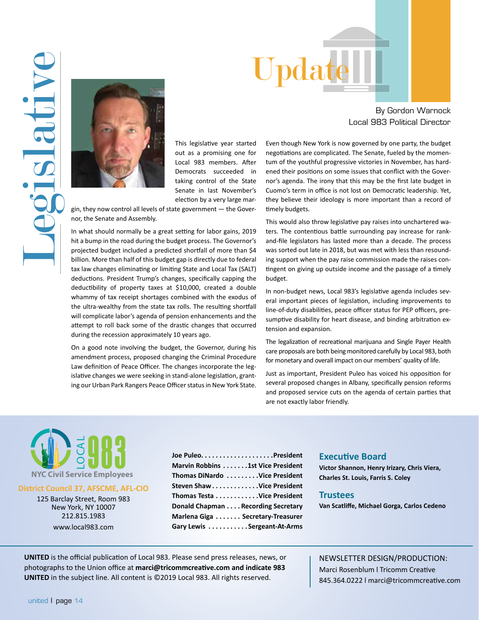



This legislative year started out as a promising one for Local 983 members. After Democrats succeeded in taking control of the State Senate in last November's election by a very large mar-

gin, they now control all levels of state government — the Governor, the Senate and Assembly.

In what should normally be a great setting for labor gains, 2019 hit a bump in the road during the budget process. The Governor's projected budget included a predicted shortfall of more than \$4 billion. More than half of this budget gap is directly due to federal tax law changes eliminating or limiting State and Local Tax (SALT) deductions. President Trump's changes, specifically capping the deductibility of property taxes at \$10,000, created a double whammy of tax receipt shortages combined with the exodus of the ultra-wealthy from the state tax rolls. The resulting shortfall will complicate labor's agenda of pension enhancements and the attempt to roll back some of the drastic changes that occurred during the recession approximately 10 years ago.

On a good note involving the budget, the Governor, during his amendment process, proposed changing the Criminal Procedure Law definition of Peace Officer. The changes incorporate the legislative changes we were seeking in stand-alone legislation, granting our Urban Park Rangers Peace Officer status in New York State.

By Gordon Warnock Local 983 Political Director

Even though New York is now governed by one party, the budget negotiations are complicated. The Senate, fueled by the momentum of the youthful progressive victories in November, has hardened their positions on some issues that conflict with the Governor's agenda. The irony that this may be the first late budget in Cuomo's term in office is not lost on Democratic leadership. Yet, they believe their ideology is more important than a record of timely budgets.

This would also throw legislative pay raises into unchartered waters. The contentious battle surrounding pay increase for rankand-file legislators has lasted more than a decade. The process was sorted out late in 2018, but was met with less than resounding support when the pay raise commission made the raises contingent on giving up outside income and the passage of a timely budget.

In non-budget news, Local 983's legislative agenda includes several important pieces of legislation, including improvements to line-of-duty disabilities, peace officer status for PEP officers, presumptive disability for heart disease, and binding arbitration extension and expansion.

The legalization of recreational marijuana and Single Payer Health care proposals are both being monitored carefully by Local 983, both for monetary and overall impact on our members' quality of life.

Just as important, President Puleo has voiced his opposition for several proposed changes in Albany, specifically pension reforms and proposed service cuts on the agenda of certain parties that are not exactly labor friendly.



#### **District Council 37, AFSCME, AFL-CIO**

125 Barclay Street, Room 983 New York, NY 10007 212.815.1983 www.local983.com

**Joe Puleo. . . . . . . . . . . . . . . . . . . .President Marvin Robbins. . 1st Vice President Thomas DiNardo. Vice President Steven Shaw. . Vice President Thomas Testa...........Vice President Donald Chapman** . . . . Recording Secretary **Marlena Giga. . . Secretary-Treasurer** Gary Lewis . . . . . . . . . . . Sergeant-At-Arms

#### **Executive Board**

**Victor Shannon, Henry Irizary, Chris Viera, Charles St. Louis, Farris S. Coley** 

#### **Trustees**

**Van Scatliffe, Michael Gorga, Carlos Cedeno**

**UNITED** is the official publication of Local 983. Please send press releases, news, or photographs to the Union office at **marci@tricommcreative.com and indicate 983 UNITED** in the subject line. All content is ©2019 Local 983. All rights reserved.

NEWSLETTER DESIGN/PRODUCTION: Marci Rosenblum l Tricomm Creative 845.364.0222 l marci@tricommcreative.com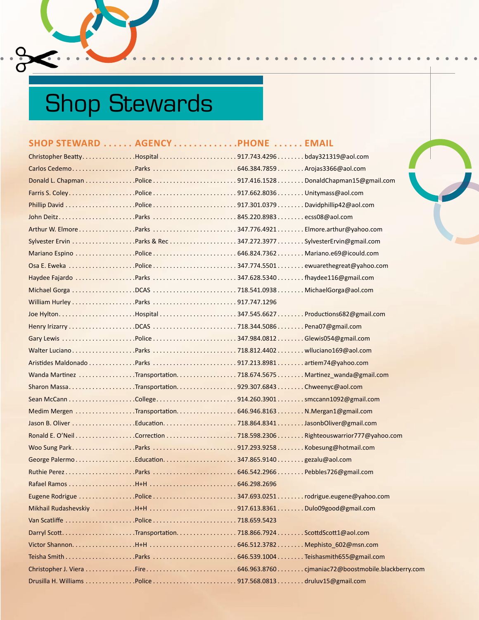## Shop Stewards

 $\frac{36}{6}$ 

 $\bullet$  $\ddot{\phantom{0}}$ 

| SHOP STEWARD  AGENCY PHONE  EMAIL                                   |  |  |
|---------------------------------------------------------------------|--|--|
| Christopher BeattyHospital917.743.4296bday321319@aol.com            |  |  |
|                                                                     |  |  |
|                                                                     |  |  |
|                                                                     |  |  |
| Phillip David Police 917.301.0379Davidphillip42@aol.com             |  |  |
|                                                                     |  |  |
| Arthur W. ElmoreParks 347.776.4921Elmore.arthur@yahoo.com           |  |  |
| Sylvester Ervin Parks & Rec347.272.3977SylvesterErvin@gmail.com     |  |  |
|                                                                     |  |  |
|                                                                     |  |  |
| Haydee Fajardo Parks 347.628.5340fhaydee116@gmail.com               |  |  |
| Michael Gorga DCAS 718.541.0938 Michael Gorga@aol.com               |  |  |
|                                                                     |  |  |
| Joe HyltonHospital347.545.6627Productions682@gmail.com              |  |  |
|                                                                     |  |  |
| Gary Lewis Police 347.984.0812Glewis054@gmail.com                   |  |  |
|                                                                     |  |  |
|                                                                     |  |  |
| Wanda Martinez Transportation718.674.5675 Martinez_wanda@gmail.com  |  |  |
|                                                                     |  |  |
|                                                                     |  |  |
| Medim Mergen Transportation646.946.8163 N.Mergan1@gmail.com         |  |  |
| Jason B. Oliver Education718.864.8341JasonbOliver@gmail.com         |  |  |
| Ronald E. O'NeilCorrection718.598.2306Righteouswarrior777@yahoo.com |  |  |
| Woo Sung ParkParks 917.293.9258Kobesung@hotmail.com                 |  |  |
| George PalermoEducation347.865.9140gezalu@aol.com                   |  |  |
|                                                                     |  |  |
|                                                                     |  |  |
| Eugene Rodrigue Police 347.693.0251rodrigue.eugene@yahoo.com        |  |  |
|                                                                     |  |  |
|                                                                     |  |  |
|                                                                     |  |  |
|                                                                     |  |  |
|                                                                     |  |  |
|                                                                     |  |  |
|                                                                     |  |  |